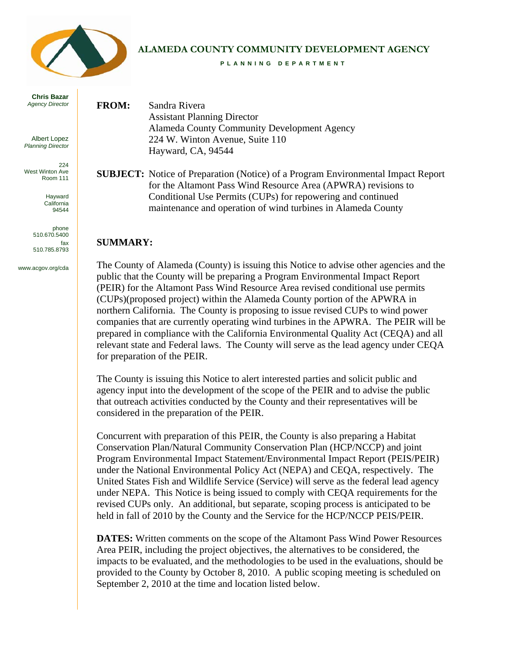

#### **ALAMEDA COUNTY COMMUNITY DEVELOPMENT AGENCY**

**PLANNING DEPARTMENT** 

**Chris Bazar**  *Agency Director* 

Albert Lopez *Planning Director*

224 West Winton Ave Room 111

> Hayward California 94544

phone 510.670.5400 fax 510.785.8793

www.acgov.org/cda

**FROM:** Sandra Rivera Assistant Planning Director Alameda County Community Development Agency 224 W. Winton Avenue, Suite 110 Hayward, CA, 94544

**SUBJECT:** Notice of Preparation (Notice) of a Program Environmental Impact Report for the Altamont Pass Wind Resource Area (APWRA) revisions to Conditional Use Permits (CUPs) for repowering and continued maintenance and operation of wind turbines in Alameda County

### **SUMMARY:**

The County of Alameda (County) is issuing this Notice to advise other agencies and the public that the County will be preparing a Program Environmental Impact Report (PEIR) for the Altamont Pass Wind Resource Area revised conditional use permits (CUPs)(proposed project) within the Alameda County portion of the APWRA in northern California. The County is proposing to issue revised CUPs to wind power companies that are currently operating wind turbines in the APWRA. The PEIR will be prepared in compliance with the California Environmental Quality Act (CEQA) and all relevant state and Federal laws. The County will serve as the lead agency under CEQA for preparation of the PEIR.

The County is issuing this Notice to alert interested parties and solicit public and agency input into the development of the scope of the PEIR and to advise the public that outreach activities conducted by the County and their representatives will be considered in the preparation of the PEIR.

Concurrent with preparation of this PEIR, the County is also preparing a Habitat Conservation Plan/Natural Community Conservation Plan (HCP/NCCP) and joint Program Environmental Impact Statement/Environmental Impact Report (PEIS/PEIR) under the National Environmental Policy Act (NEPA) and CEQA, respectively. The United States Fish and Wildlife Service (Service) will serve as the federal lead agency under NEPA. This Notice is being issued to comply with CEQA requirements for the revised CUPs only. An additional, but separate, scoping process is anticipated to be held in fall of 2010 by the County and the Service for the HCP/NCCP PEIS/PEIR.

**DATES:** Written comments on the scope of the Altamont Pass Wind Power Resources Area PEIR, including the project objectives, the alternatives to be considered, the impacts to be evaluated, and the methodologies to be used in the evaluations, should be provided to the County by October 8, 2010. A public scoping meeting is scheduled on September 2, 2010 at the time and location listed below.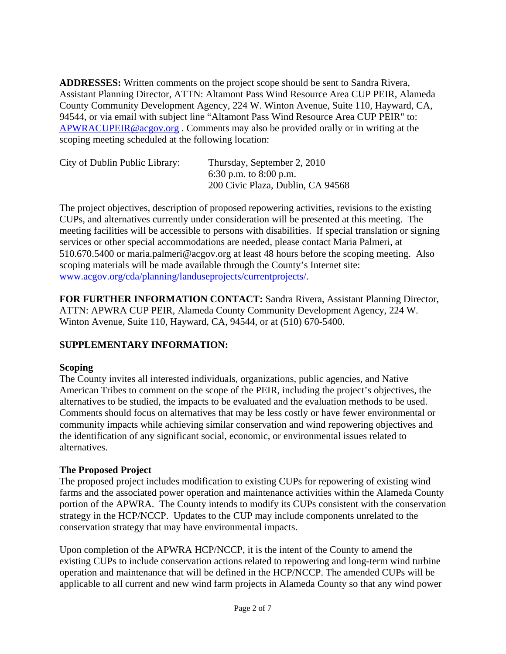**ADDRESSES:** Written comments on the project scope should be sent to Sandra Rivera, Assistant Planning Director, ATTN: Altamont Pass Wind Resource Area CUP PEIR, Alameda County Community Development Agency, 224 W. Winton Avenue, Suite 110, Hayward, CA, 94544, or via email with subject line "Altamont Pass Wind Resource Area CUP PEIR" to: [APWRACUPEIR@acgov.org](mailto:APWRACUPEIR@acgov.org) . Comments may also be provided orally or in writing at the scoping meeting scheduled at the following location:

| City of Dublin Public Library: | Thursday, September 2, 2010       |
|--------------------------------|-----------------------------------|
|                                | 6:30 p.m. to 8:00 p.m.            |
|                                | 200 Civic Plaza, Dublin, CA 94568 |

The project objectives, description of proposed repowering activities, revisions to the existing CUPs, and alternatives currently under consideration will be presented at this meeting. The meeting facilities will be accessible to persons with disabilities. If special translation or signing services or other special accommodations are needed, please contact Maria Palmeri, at 510.670.5400 or maria.palmeri@acgov.org at least 48 hours before the scoping meeting. Also scoping materials will be made available through the County's Internet site: [www.acgov.org/cda/planning/landuseprojects/currentprojects/.](http://www.acgov.org/cda/planning/landuseprojects/currentprojects/)

**FOR FURTHER INFORMATION CONTACT:** Sandra Rivera, Assistant Planning Director, ATTN: APWRA CUP PEIR, Alameda County Community Development Agency, 224 W. Winton Avenue, Suite 110, Hayward, CA, 94544, or at (510) 670-5400.

# **SUPPLEMENTARY INFORMATION:**

# **Scoping**

The County invites all interested individuals, organizations, public agencies, and Native American Tribes to comment on the scope of the PEIR, including the project's objectives, the alternatives to be studied, the impacts to be evaluated and the evaluation methods to be used. Comments should focus on alternatives that may be less costly or have fewer environmental or community impacts while achieving similar conservation and wind repowering objectives and the identification of any significant social, economic, or environmental issues related to alternatives.

# **The Proposed Project**

The proposed project includes modification to existing CUPs for repowering of existing wind farms and the associated power operation and maintenance activities within the Alameda County portion of the APWRA. The County intends to modify its CUPs consistent with the conservation strategy in the HCP/NCCP. Updates to the CUP may include components unrelated to the conservation strategy that may have environmental impacts.

Upon completion of the APWRA HCP/NCCP, it is the intent of the County to amend the existing CUPs to include conservation actions related to repowering and long-term wind turbine operation and maintenance that will be defined in the HCP/NCCP. The amended CUPs will be applicable to all current and new wind farm projects in Alameda County so that any wind power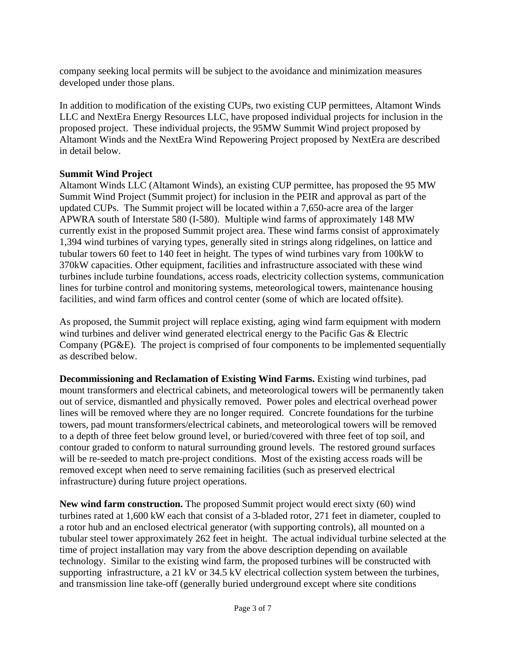company seeking local permits will be subject to the avoidance and minimization measures developed under those plans.

In addition to modification of the existing CUPs, two existing CUP permittees, Altamont Winds LLC and NextEra Energy Resources LLC, have proposed individual projects for inclusion in the proposed project. These individual projects, the 95MW Summit Wind project proposed by Altamont Winds and the NextEra Wind Repowering Project proposed by NextEra are described in detail below.

### **Summit Wind Project**

Altamont Winds LLC (Altamont Winds), an existing CUP permittee, has proposed the 95 MW Summit Wind Project (Summit project) for inclusion in the PEIR and approval as part of the updated CUPs. The Summit project will be located within a 7,650-acre area of the larger APWRA south of Interstate 580 (I-580). Multiple wind farms of approximately 148 MW currently exist in the proposed Summit project area. These wind farms consist of approximately 1,394 wind turbines of varying types, generally sited in strings along ridgelines, on lattice and tubular towers 60 feet to 140 feet in height. The types of wind turbines vary from 100kW to 370kW capacities. Other equipment, facilities and infrastructure associated with these wind turbines include turbine foundations, access roads, electricity collection systems, communication lines for turbine control and monitoring systems, meteorological towers, maintenance housing facilities, and wind farm offices and control center (some of which are located offsite).

As proposed, the Summit project will replace existing, aging wind farm equipment with modern wind turbines and deliver wind generated electrical energy to the Pacific Gas & Electric Company (PG&E). The project is comprised of four components to be implemented sequentially as described below.

**Decommissioning and Reclamation of Existing Wind Farms.** Existing wind turbines, pad mount transformers and electrical cabinets, and meteorological towers will be permanently taken out of service, dismantled and physically removed. Power poles and electrical overhead power lines will be removed where they are no longer required. Concrete foundations for the turbine towers, pad mount transformers/electrical cabinets, and meteorological towers will be removed to a depth of three feet below ground level, or buried/covered with three feet of top soil, and contour graded to conform to natural surrounding ground levels. The restored ground surfaces will be re-seeded to match pre-project conditions. Most of the existing access roads will be removed except when need to serve remaining facilities (such as preserved electrical infrastructure) during future project operations.

**New wind farm construction.** The proposed Summit project would erect sixty (60) wind turbines rated at 1,600 kW each that consist of a 3-bladed rotor, 271 feet in diameter, coupled to a rotor hub and an enclosed electrical generator (with supporting controls), all mounted on a tubular steel tower approximately 262 feet in height. The actual individual turbine selected at the time of project installation may vary from the above description depending on available technology. Similar to the existing wind farm, the proposed turbines will be constructed with supporting infrastructure, a 21 kV or 34.5 kV electrical collection system between the turbines, and transmission line take-off (generally buried underground except where site conditions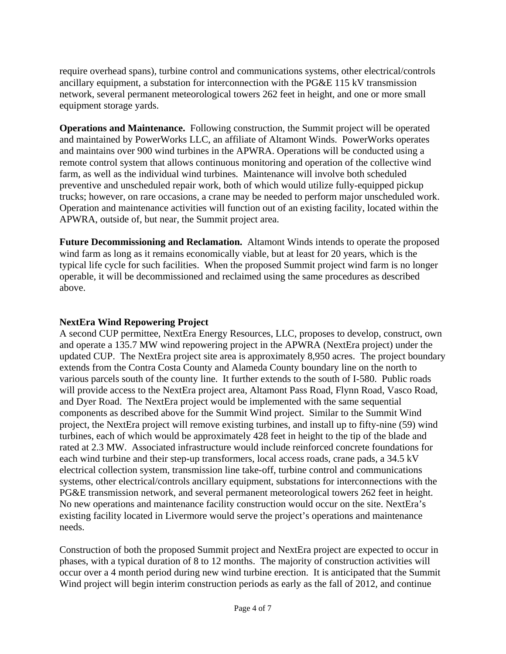require overhead spans), turbine control and communications systems, other electrical/controls ancillary equipment, a substation for interconnection with the PG&E 115 kV transmission network, several permanent meteorological towers 262 feet in height, and one or more small equipment storage yards.

**Operations and Maintenance.** Following construction, the Summit project will be operated and maintained by PowerWorks LLC, an affiliate of Altamont Winds. PowerWorks operates and maintains over 900 wind turbines in the APWRA. Operations will be conducted using a remote control system that allows continuous monitoring and operation of the collective wind farm, as well as the individual wind turbines. Maintenance will involve both scheduled preventive and unscheduled repair work, both of which would utilize fully-equipped pickup trucks; however, on rare occasions, a crane may be needed to perform major unscheduled work. Operation and maintenance activities will function out of an existing facility, located within the APWRA, outside of, but near, the Summit project area.

**Future Decommissioning and Reclamation.** Altamont Winds intends to operate the proposed wind farm as long as it remains economically viable, but at least for 20 years, which is the typical life cycle for such facilities. When the proposed Summit project wind farm is no longer operable, it will be decommissioned and reclaimed using the same procedures as described above.

### **NextEra Wind Repowering Project**

A second CUP permittee, NextEra Energy Resources, LLC, proposes to develop, construct, own and operate a 135.7 MW wind repowering project in the APWRA (NextEra project) under the updated CUP. The NextEra project site area is approximately 8,950 acres. The project boundary extends from the Contra Costa County and Alameda County boundary line on the north to various parcels south of the county line. It further extends to the south of I-580. Public roads will provide access to the NextEra project area, Altamont Pass Road, Flynn Road, Vasco Road, and Dyer Road. The NextEra project would be implemented with the same sequential components as described above for the Summit Wind project. Similar to the Summit Wind project, the NextEra project will remove existing turbines, and install up to fifty-nine (59) wind turbines, each of which would be approximately 428 feet in height to the tip of the blade and rated at 2.3 MW. Associated infrastructure would include reinforced concrete foundations for each wind turbine and their step-up transformers, local access roads, crane pads, a 34.5 kV electrical collection system, transmission line take-off, turbine control and communications systems, other electrical/controls ancillary equipment, substations for interconnections with the PG&E transmission network, and several permanent meteorological towers 262 feet in height. No new operations and maintenance facility construction would occur on the site. NextEra's existing facility located in Livermore would serve the project's operations and maintenance needs.

Construction of both the proposed Summit project and NextEra project are expected to occur in phases, with a typical duration of 8 to 12 months. The majority of construction activities will occur over a 4 month period during new wind turbine erection. It is anticipated that the Summit Wind project will begin interim construction periods as early as the fall of 2012, and continue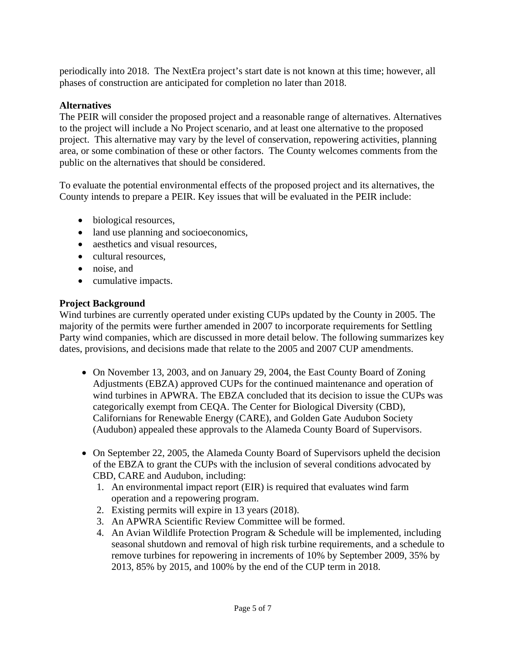periodically into 2018. The NextEra project's start date is not known at this time; however, all phases of construction are anticipated for completion no later than 2018.

### **Alternatives**

The PEIR will consider the proposed project and a reasonable range of alternatives. Alternatives to the project will include a No Project scenario, and at least one alternative to the proposed project. This alternative may vary by the level of conservation, repowering activities, planning area, or some combination of these or other factors. The County welcomes comments from the public on the alternatives that should be considered.

To evaluate the potential environmental effects of the proposed project and its alternatives, the County intends to prepare a PEIR. Key issues that will be evaluated in the PEIR include:

- biological resources,
- land use planning and socioeconomics,
- aesthetics and visual resources,
- cultural resources.
- noise, and
- cumulative impacts.

### **Project Background**

Wind turbines are currently operated under existing CUPs updated by the County in 2005. The majority of the permits were further amended in 2007 to incorporate requirements for Settling Party wind companies, which are discussed in more detail below. The following summarizes key dates, provisions, and decisions made that relate to the 2005 and 2007 CUP amendments.

- On November 13, 2003, and on January 29, 2004, the East County Board of Zoning Adjustments (EBZA) approved CUPs for the continued maintenance and operation of wind turbines in APWRA. The EBZA concluded that its decision to issue the CUPs was categorically exempt from CEQA. The Center for Biological Diversity (CBD), Californians for Renewable Energy (CARE), and Golden Gate Audubon Society (Audubon) appealed these approvals to the Alameda County Board of Supervisors.
- On September 22, 2005, the Alameda County Board of Supervisors upheld the decision of the EBZA to grant the CUPs with the inclusion of several conditions advocated by CBD, CARE and Audubon, including:
	- 1. An environmental impact report (EIR) is required that evaluates wind farm operation and a repowering program.
	- 2. Existing permits will expire in 13 years (2018).
	- 3. An APWRA Scientific Review Committee will be formed.
	- 4. An Avian Wildlife Protection Program & Schedule will be implemented, including seasonal shutdown and removal of high risk turbine requirements, and a schedule to remove turbines for repowering in increments of 10% by September 2009, 35% by 2013, 85% by 2015, and 100% by the end of the CUP term in 2018.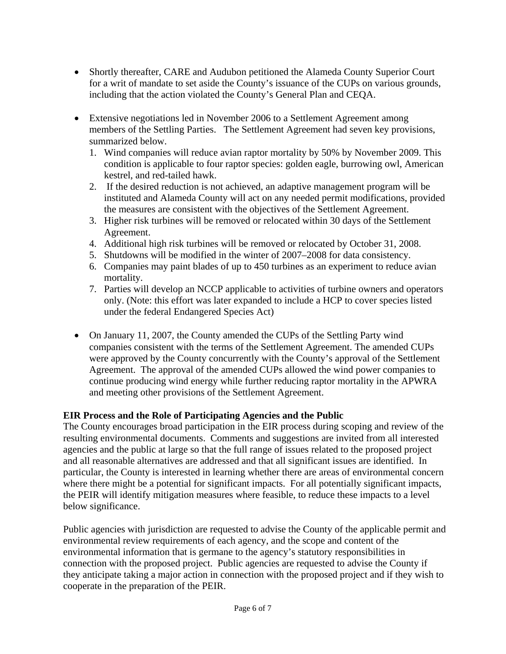- Shortly thereafter, CARE and Audubon petitioned the Alameda County Superior Court for a writ of mandate to set aside the County's issuance of the CUPs on various grounds, including that the action violated the County's General Plan and CEQA.
- Extensive negotiations led in November 2006 to a Settlement Agreement among members of the Settling Parties. The Settlement Agreement had seven key provisions, summarized below.
	- 1. Wind companies will reduce avian raptor mortality by 50% by November 2009. This condition is applicable to four raptor species: golden eagle, burrowing owl, American kestrel, and red-tailed hawk.
	- 2. If the desired reduction is not achieved, an adaptive management program will be instituted and Alameda County will act on any needed permit modifications, provided the measures are consistent with the objectives of the Settlement Agreement.
	- 3. Higher risk turbines will be removed or relocated within 30 days of the Settlement Agreement.
	- 4. Additional high risk turbines will be removed or relocated by October 31, 2008.
	- 5. Shutdowns will be modified in the winter of 2007–2008 for data consistency.
	- 6. Companies may paint blades of up to 450 turbines as an experiment to reduce avian mortality.
	- 7. Parties will develop an NCCP applicable to activities of turbine owners and operators only. (Note: this effort was later expanded to include a HCP to cover species listed under the federal Endangered Species Act)
- On January 11, 2007, the County amended the CUPs of the Settling Party wind companies consistent with the terms of the Settlement Agreement. The amended CUPs were approved by the County concurrently with the County's approval of the Settlement Agreement. The approval of the amended CUPs allowed the wind power companies to continue producing wind energy while further reducing raptor mortality in the APWRA and meeting other provisions of the Settlement Agreement.

#### **EIR Process and the Role of Participating Agencies and the Public**

The County encourages broad participation in the EIR process during scoping and review of the resulting environmental documents. Comments and suggestions are invited from all interested agencies and the public at large so that the full range of issues related to the proposed project and all reasonable alternatives are addressed and that all significant issues are identified. In particular, the County is interested in learning whether there are areas of environmental concern where there might be a potential for significant impacts. For all potentially significant impacts, the PEIR will identify mitigation measures where feasible, to reduce these impacts to a level below significance.

Public agencies with jurisdiction are requested to advise the County of the applicable permit and environmental review requirements of each agency, and the scope and content of the environmental information that is germane to the agency's statutory responsibilities in connection with the proposed project. Public agencies are requested to advise the County if they anticipate taking a major action in connection with the proposed project and if they wish to cooperate in the preparation of the PEIR.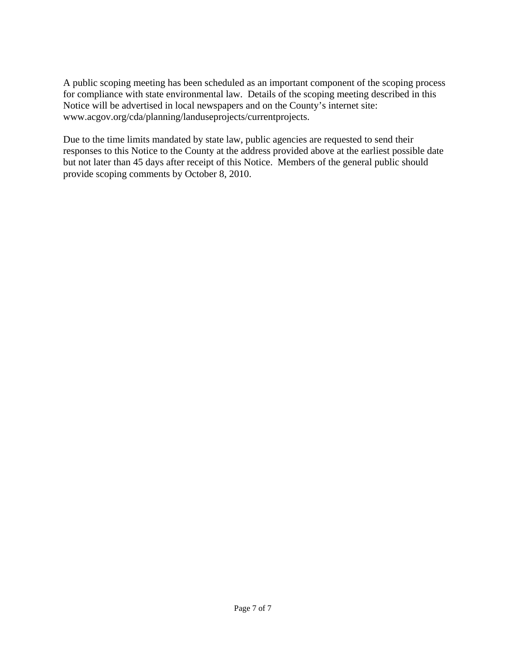A public scoping meeting has been scheduled as an important component of the scoping process for compliance with state environmental law. Details of the scoping meeting described in this Notice will be advertised in local newspapers and on the County's internet site: www.acgov.org/cda/planning/landuseprojects/currentprojects.

Due to the time limits mandated by state law, public agencies are requested to send their responses to this Notice to the County at the address provided above at the earliest possible date but not later than 45 days after receipt of this Notice. Members of the general public should provide scoping comments by October 8, 2010.